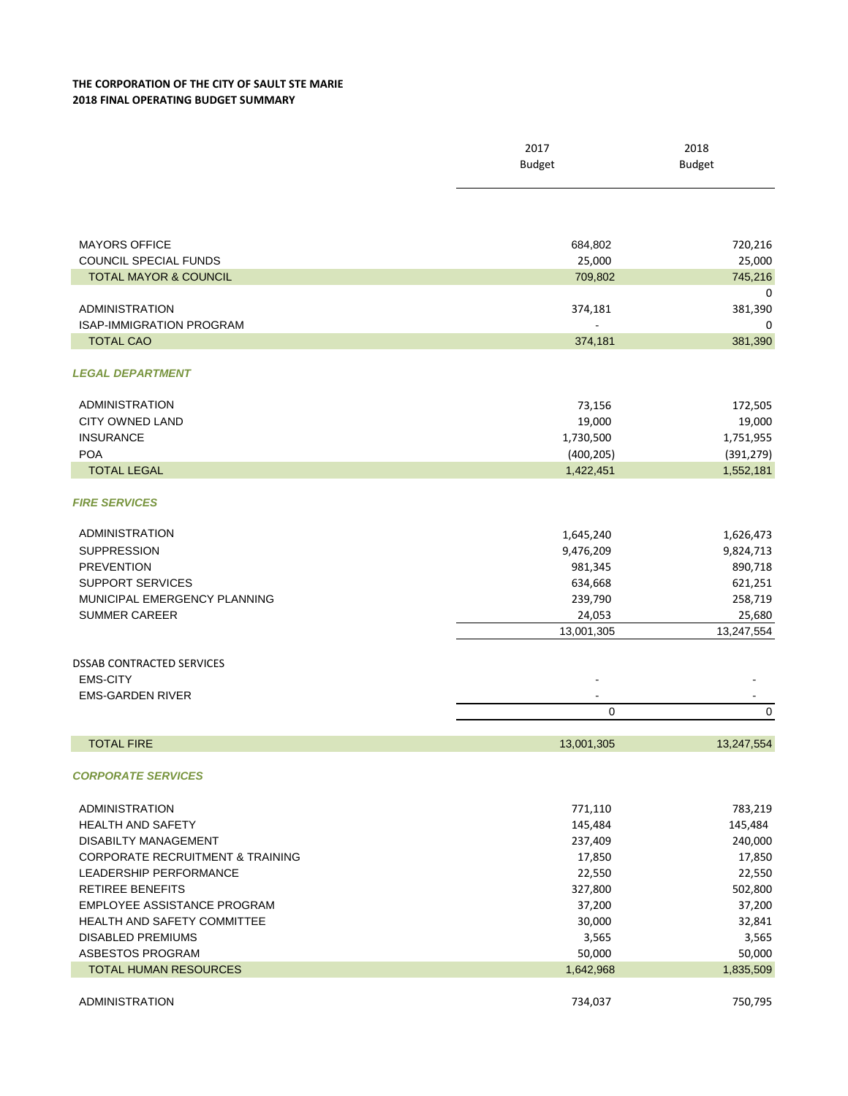## **THE CORPORATION OF THE CITY OF SAULT STE MARIE 2018 FINAL OPERATING BUDGET SUMMARY**

|                                             | 2017          | 2018          |
|---------------------------------------------|---------------|---------------|
|                                             | <b>Budget</b> | <b>Budget</b> |
|                                             |               |               |
| <b>MAYORS OFFICE</b>                        | 684,802       | 720,216       |
| COUNCIL SPECIAL FUNDS                       | 25,000        | 25,000        |
| <b>TOTAL MAYOR &amp; COUNCIL</b>            | 709,802       | 745,216       |
|                                             |               | 0             |
| <b>ADMINISTRATION</b>                       | 374,181       | 381,390       |
| <b>ISAP-IMMIGRATION PROGRAM</b>             |               | 0             |
| <b>TOTAL CAO</b>                            | 374,181       | 381,390       |
| <b>LEGAL DEPARTMENT</b>                     |               |               |
| <b>ADMINISTRATION</b>                       | 73,156        | 172,505       |
| <b>CITY OWNED LAND</b>                      | 19,000        | 19,000        |
| <b>INSURANCE</b>                            | 1,730,500     | 1,751,955     |
| <b>POA</b>                                  | (400, 205)    | (391, 279)    |
| <b>TOTAL LEGAL</b>                          | 1,422,451     | 1,552,181     |
| <b>FIRE SERVICES</b>                        |               |               |
| <b>ADMINISTRATION</b>                       | 1,645,240     | 1,626,473     |
| <b>SUPPRESSION</b>                          | 9,476,209     | 9,824,713     |
| <b>PREVENTION</b>                           | 981,345       | 890,718       |
| <b>SUPPORT SERVICES</b>                     | 634,668       | 621,251       |
| MUNICIPAL EMERGENCY PLANNING                | 239,790       | 258,719       |
| <b>SUMMER CAREER</b>                        | 24,053        | 25,680        |
|                                             | 13,001,305    | 13,247,554    |
| <b>DSSAB CONTRACTED SERVICES</b>            |               |               |
| <b>EMS-CITY</b>                             |               |               |
| <b>EMS-GARDEN RIVER</b>                     |               |               |
|                                             | 0             | 0             |
|                                             |               |               |
| <b>TOTAL FIRE</b>                           | 13,001,305    | 13,247,554    |
| <b>CORPORATE SERVICES</b>                   |               |               |
| <b>ADMINISTRATION</b>                       | 771,110       | 783,219       |
| <b>HEALTH AND SAFETY</b>                    | 145,484       | 145,484       |
| <b>DISABILTY MANAGEMENT</b>                 | 237,409       | 240,000       |
| <b>CORPORATE RECRUITMENT &amp; TRAINING</b> | 17,850        | 17,850        |
| LEADERSHIP PERFORMANCE                      | 22,550        | 22,550        |
| <b>RETIREE BENEFITS</b>                     | 327,800       | 502,800       |
| EMPLOYEE ASSISTANCE PROGRAM                 | 37,200        | 37,200        |
| <b>HEALTH AND SAFETY COMMITTEE</b>          | 30,000        | 32,841        |
| <b>DISABLED PREMIUMS</b>                    | 3,565         | 3,565         |
| ASBESTOS PROGRAM                            | 50,000        | 50,000        |
| TOTAL HUMAN RESOURCES                       | 1,642,968     | 1,835,509     |
| <b>ADMINISTRATION</b>                       | 734,037       | 750,795       |
|                                             |               |               |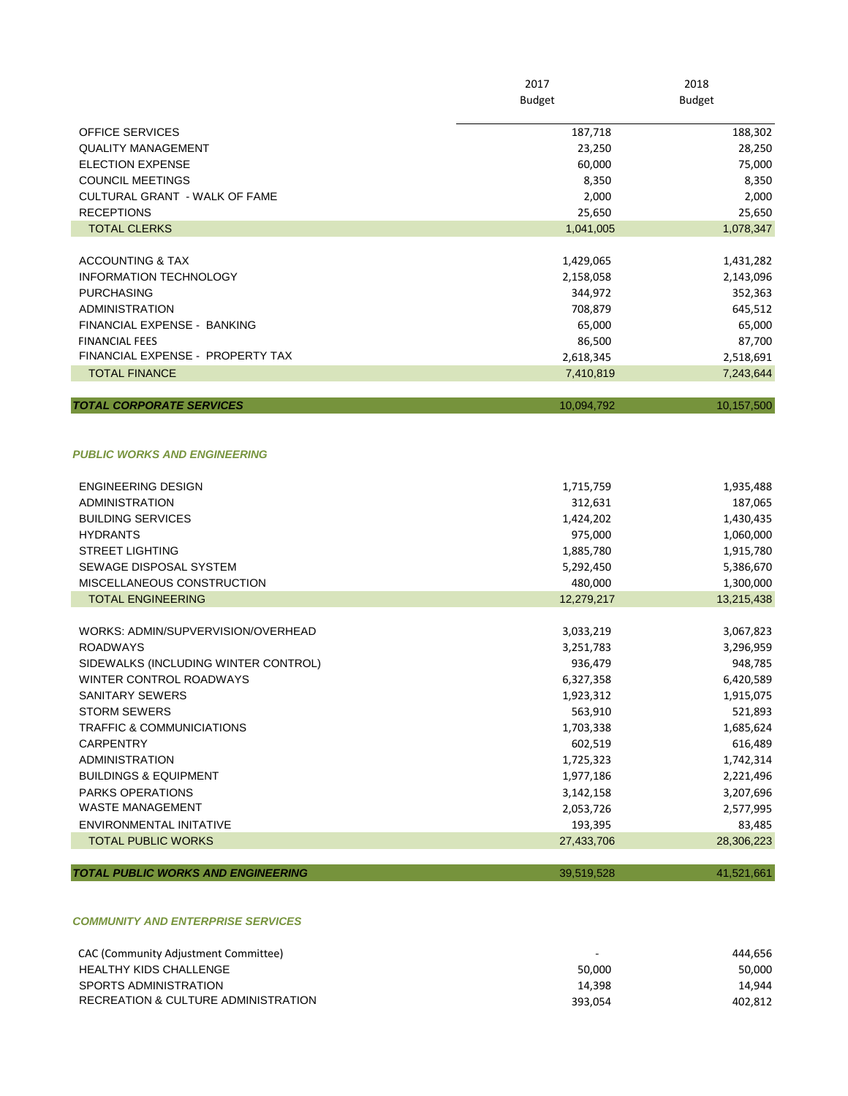|                                    | 2017          | 2018<br><b>Budget</b> |
|------------------------------------|---------------|-----------------------|
|                                    | <b>Budget</b> |                       |
| <b>OFFICE SERVICES</b>             | 187,718       | 188,302               |
| <b>QUALITY MANAGEMENT</b>          | 23,250        | 28,250                |
| <b>ELECTION EXPENSE</b>            | 60,000        | 75,000                |
| <b>COUNCIL MEETINGS</b>            | 8,350         | 8,350                 |
| CULTURAL GRANT - WALK OF FAME      | 2,000         | 2,000                 |
| <b>RECEPTIONS</b>                  | 25,650        | 25,650                |
| <b>TOTAL CLERKS</b>                | 1,041,005     | 1,078,347             |
|                                    |               |                       |
| <b>ACCOUNTING &amp; TAX</b>        | 1,429,065     | 1,431,282             |
| <b>INFORMATION TECHNOLOGY</b>      | 2,158,058     | 2,143,096             |
| <b>PURCHASING</b>                  | 344,972       | 352,363               |
| <b>ADMINISTRATION</b>              | 708,879       | 645,512               |
| <b>FINANCIAL EXPENSE - BANKING</b> | 65,000        | 65,000                |
| <b>FINANCIAL FEES</b>              | 86,500        | 87,700                |
| FINANCIAL EXPENSE - PROPERTY TAX   | 2,618,345     | 2,518,691             |
| <b>TOTAL FINANCE</b>               | 7,410,819     | 7,243,644             |
|                                    |               |                       |
| <b>TOTAL CORPORATE SERVICES</b>    | 10,094,792    | 10,157,500            |

## *PUBLIC WORKS AND ENGINEERING*

| <b>HYDRANTS</b>                           | 975,000    | 1,060,000  |
|-------------------------------------------|------------|------------|
| <b>STREET LIGHTING</b>                    | 1,885,780  | 1,915,780  |
| SEWAGE DISPOSAL SYSTEM                    | 5,292,450  | 5,386,670  |
| MISCELLANEOUS CONSTRUCTION                | 480.000    | 1,300,000  |
| <b>TOTAL ENGINEERING</b>                  | 12,279,217 | 13,215,438 |
|                                           |            |            |
| WORKS: ADMIN/SUPVERVISION/OVERHEAD        | 3,033,219  | 3,067,823  |
| <b>ROADWAYS</b>                           | 3,251,783  | 3,296,959  |
| SIDEWALKS (INCLUDING WINTER CONTROL)      | 936,479    | 948,785    |
| WINTER CONTROL ROADWAYS                   | 6,327,358  | 6,420,589  |
| <b>SANITARY SEWERS</b>                    | 1,923,312  | 1,915,075  |
| <b>STORM SEWERS</b>                       | 563.910    | 521,893    |
| <b>TRAFFIC &amp; COMMUNICIATIONS</b>      | 1,703,338  | 1,685,624  |
| <b>CARPENTRY</b>                          | 602,519    | 616,489    |
| <b>ADMINISTRATION</b>                     | 1,725,323  | 1,742,314  |
| <b>BUILDINGS &amp; EQUIPMENT</b>          | 1,977,186  | 2,221,496  |
| <b>PARKS OPERATIONS</b>                   | 3,142,158  | 3,207,696  |
| <b>WASTE MANAGEMENT</b>                   | 2,053,726  | 2,577,995  |
| ENVIRONMENTAL INITATIVE                   | 193,395    | 83,485     |
| <b>TOTAL PUBLIC WORKS</b>                 | 27,433,706 | 28,306,223 |
|                                           |            |            |
| <b>TOTAL PUBLIC WORKS AND ENGINEERING</b> | 39,519,528 | 41,521,661 |

## *COMMUNITY AND ENTERPRISE SERVICES*

| CAC (Community Adjustment Committee) |         | 444.656 |
|--------------------------------------|---------|---------|
| HEALTHY KIDS CHALLENGE               | 50.000  | 50,000  |
| SPORTS ADMINISTRATION                | 14.398  | 14.944  |
| RECREATION & CULTURE ADMINISTRATION  | 393.054 | 402.812 |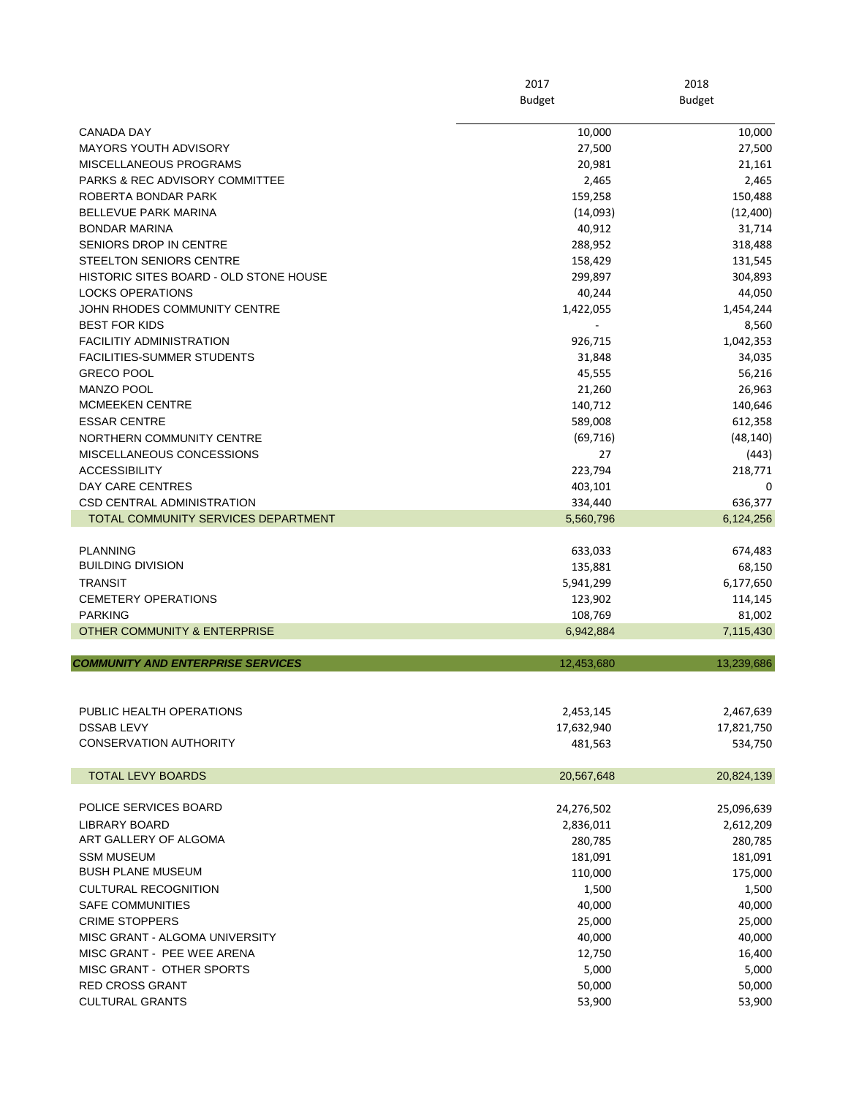|                                               | 2017<br><b>Budget</b> | 2018<br><b>Budget</b> |  |
|-----------------------------------------------|-----------------------|-----------------------|--|
|                                               |                       |                       |  |
| <b>CANADA DAY</b>                             | 10,000                | 10,000                |  |
| <b>MAYORS YOUTH ADVISORY</b>                  | 27,500                | 27,500                |  |
| MISCELLANEOUS PROGRAMS                        | 20,981                | 21,161                |  |
| <b>PARKS &amp; REC ADVISORY COMMITTEE</b>     | 2,465                 | 2,465                 |  |
| ROBERTA BONDAR PARK                           | 159,258               | 150,488               |  |
| <b>BELLEVUE PARK MARINA</b>                   | (14,093)              | (12, 400)             |  |
| <b>BONDAR MARINA</b>                          | 40,912                | 31,714                |  |
| SENIORS DROP IN CENTRE                        | 288,952               | 318,488               |  |
| <b>STEELTON SENIORS CENTRE</b>                | 158,429               | 131,545               |  |
| HISTORIC SITES BOARD - OLD STONE HOUSE        | 299,897               | 304,893               |  |
| <b>LOCKS OPERATIONS</b>                       | 40,244                | 44,050                |  |
| JOHN RHODES COMMUNITY CENTRE                  | 1,422,055             | 1,454,244             |  |
| <b>BEST FOR KIDS</b>                          |                       | 8,560                 |  |
| <b>FACILITIY ADMINISTRATION</b>               | 926,715               | 1,042,353             |  |
| <b>FACILITIES-SUMMER STUDENTS</b>             | 31,848                | 34,035                |  |
| <b>GRECO POOL</b>                             | 45,555                | 56,216                |  |
| <b>MANZO POOL</b>                             | 21,260                | 26,963                |  |
| <b>MCMEEKEN CENTRE</b>                        | 140,712               | 140,646               |  |
| <b>ESSAR CENTRE</b>                           | 589,008               | 612,358               |  |
| NORTHERN COMMUNITY CENTRE                     | (69, 716)             | (48, 140)             |  |
| MISCELLANEOUS CONCESSIONS                     | 27                    | (443)                 |  |
| <b>ACCESSIBILITY</b>                          | 223,794               | 218,771               |  |
| DAY CARE CENTRES                              | 403,101               | 0                     |  |
| <b>CSD CENTRAL ADMINISTRATION</b>             | 334,440               | 636,377               |  |
| <b>TOTAL COMMUNITY SERVICES DEPARTMENT</b>    | 5,560,796             | 6,124,256             |  |
|                                               |                       |                       |  |
| <b>PLANNING</b>                               | 633,033               | 674,483               |  |
| <b>BUILDING DIVISION</b>                      | 135,881               | 68,150                |  |
| <b>TRANSIT</b>                                | 5,941,299             | 6,177,650             |  |
| <b>CEMETERY OPERATIONS</b>                    | 123,902               | 114,145               |  |
| <b>PARKING</b>                                | 108,769               | 81,002                |  |
| <b>OTHER COMMUNITY &amp; ENTERPRISE</b>       | 6,942,884             | 7,115,430             |  |
| <b>COMMUNITY AND ENTERPRISE SERVICES</b>      | 12,453,680            | 13,239,686            |  |
|                                               |                       |                       |  |
|                                               |                       |                       |  |
| PUBLIC HEALTH OPERATIONS                      | 2,453,145             | 2,467,639             |  |
| <b>DSSAB LEVY</b>                             | 17,632,940            | 17,821,750            |  |
| <b>CONSERVATION AUTHORITY</b>                 | 481,563               | 534,750               |  |
| <b>TOTAL LEVY BOARDS</b>                      | 20,567,648            | 20,824,139            |  |
| POLICE SERVICES BOARD                         |                       |                       |  |
|                                               | 24,276,502            | 25,096,639            |  |
| LIBRARY BOARD<br>ART GALLERY OF ALGOMA        | 2,836,011             | 2,612,209             |  |
|                                               | 280,785               | 280,785               |  |
| <b>SSM MUSEUM</b><br><b>BUSH PLANE MUSEUM</b> | 181,091               | 181,091               |  |
|                                               | 110,000               | 175,000               |  |
| <b>CULTURAL RECOGNITION</b>                   | 1,500                 | 1,500                 |  |
| <b>SAFE COMMUNITIES</b>                       | 40,000                | 40,000                |  |
| <b>CRIME STOPPERS</b>                         | 25,000                | 25,000                |  |
| MISC GRANT - ALGOMA UNIVERSITY                | 40,000                | 40,000                |  |
| MISC GRANT - PEE WEE ARENA                    | 12,750                | 16,400                |  |
| MISC GRANT OTHER SPORTS                       | 5,000                 | 5,000                 |  |
| <b>RED CROSS GRANT</b>                        | 50,000                | 50,000                |  |
| <b>CULTURAL GRANTS</b>                        | 53,900                | 53,900                |  |